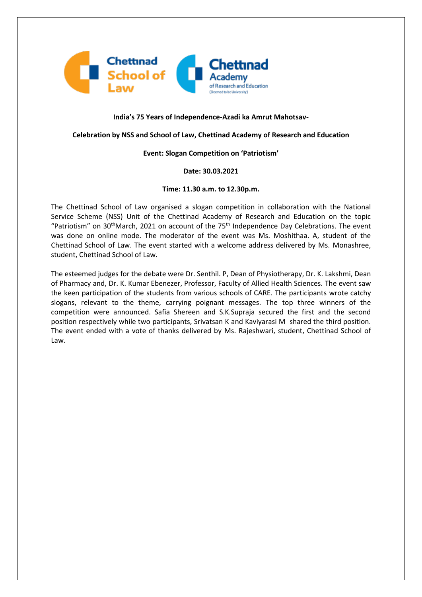

## **India's 75 Years of Independence-Azadi ka Amrut Mahotsav-**

## **Celebration by NSS and School of Law, Chettinad Academy of Research and Education**

#### **Event: Slogan Competition on 'Patriotism'**

#### **Date: 30.03.2021**

#### **Time: 11.30 a.m. to 12.30p.m.**

The Chettinad School of Law organised a slogan competition in collaboration with the National Service Scheme (NSS) Unit of the Chettinad Academy of Research and Education on the topic "Patriotism" on 30<sup>th</sup>March, 2021 on account of the 75<sup>th</sup> Independence Day Celebrations. The event was done on online mode. The moderator of the event was Ms. Moshithaa. A, student of the Chettinad School of Law. The event started with a welcome address delivered by Ms. Monashree, student, Chettinad School of Law.

The esteemed judges for the debate were Dr. Senthil. P, Dean of Physiotherapy, Dr. K. Lakshmi, Dean of Pharmacy and, Dr. K. Kumar Ebenezer, Professor, Faculty of Allied Health Sciences. The event saw the keen participation of the students from various schools of CARE. The participants wrote catchy slogans, relevant to the theme, carrying poignant messages. The top three winners of the competition were announced. Safia Shereen and S.K.Supraja secured the first and the second position respectively while two participants, Srivatsan K and Kaviyarasi M shared the third position. The event ended with a vote of thanks delivered by Ms. Rajeshwari, student, Chettinad School of Law.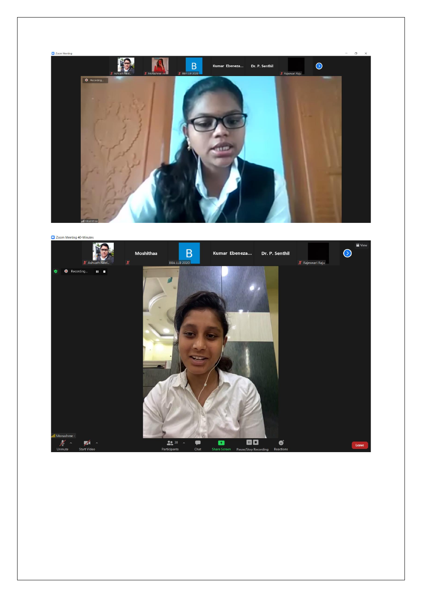

C Zoom Meeting 40-Minutes

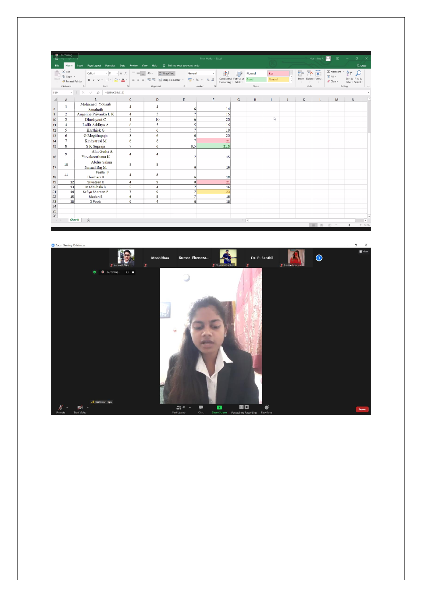| ы                                                               | Recording                                                       |                                                                                                                  |                                                                                      | Final Marks - Excel                                                                                      |                                     |                                                          |                            |                  |                |   |                                                    | Moshithaa A  | $\mathbf{E}$                                                                 | $\sigma$<br>$\overline{\phantom{a}}$              |                          |
|-----------------------------------------------------------------|-----------------------------------------------------------------|------------------------------------------------------------------------------------------------------------------|--------------------------------------------------------------------------------------|----------------------------------------------------------------------------------------------------------|-------------------------------------|----------------------------------------------------------|----------------------------|------------------|----------------|---|----------------------------------------------------|--------------|------------------------------------------------------------------------------|---------------------------------------------------|--------------------------|
| File                                                            | Home                                                            | Insert Page Layout Formulas Data Review View Help $\bigcirc$ Tell me what you want to do                         |                                                                                      |                                                                                                          |                                     |                                                          |                            |                  |                |   |                                                    |              |                                                                              | $94$ Share                                        |                          |
| alla,<br>Paste                                                  | X Cut<br><sup>En</sup> Copy ™<br>S' Format Painter<br>Clipboard | $-11 - A$ $\Lambda$<br>Calibri<br><b>B</b> $I \perp \cdot \cdot \cdot$ $\circ \cdot$ $A$ -<br>$\sqrt{2}$<br>Font | $\overline{=}$ $\equiv$ $\overline{=}$ $\triangleright$ .<br>$\overline{\mathbb{N}}$ | ab Wrap Text<br>$\equiv$ $\equiv$ $\equiv$ $\equiv$ $\equiv$ $\equiv$ Merge & Center $\sim$<br>Alignment | General<br>$\overline{u}$<br>Number | <b>至</b> · % , 當 器<br>Formatting - Table -<br>$\sqrt{2}$ | Conditional Format as Good | Normal<br>Styles | Bad<br>Neutral | v | $\mathbb{R}$<br>뤁<br>Insert Delete Format<br>Cells | D            | $\Sigma$ AutoSum $\sim$<br>$\overline{\bullet}$ Fill -<br>Clear v<br>Editing | $rac{A}{7}$<br>Sort & Find &<br>Filter - Select - |                          |
| $-1$ $\times$<br>fx<br>$=$ SUM(C19:E19)<br>F19<br>$\mathcal{A}$ |                                                                 |                                                                                                                  |                                                                                      |                                                                                                          |                                     |                                                          |                            |                  |                |   |                                                    |              |                                                                              |                                                   |                          |
|                                                                 | A                                                               | B                                                                                                                | $\mathsf{C}$                                                                         | D                                                                                                        | E                                   | F                                                        | G                          | H                | п              | J | $\mathsf{K}$                                       | $\mathsf{L}$ | M                                                                            | N                                                 |                          |
| 8                                                               | 1                                                               | Mohamed Yousub<br>Sanahath                                                                                       | $\overline{4}$                                                                       | $\overline{4}$                                                                                           | 6                                   | 14                                                       |                            |                  |                |   |                                                    |              |                                                                              |                                                   |                          |
| $\overline{9}$                                                  | $\overline{c}$                                                  | Angeline Priyanka L K                                                                                            | $\overline{4}$                                                                       | 5                                                                                                        | ٠                                   | 16                                                       |                            |                  |                |   |                                                    |              |                                                                              |                                                   |                          |
| 10                                                              | 3                                                               | Dhushyant C                                                                                                      | $\overline{4}$                                                                       | 10                                                                                                       | 6                                   | 20                                                       |                            |                  | $\mathbb{D}$   |   |                                                    |              |                                                                              |                                                   |                          |
| 11                                                              | 4                                                               | Lallit Additya A                                                                                                 | 6                                                                                    | 5                                                                                                        |                                     | 16                                                       |                            |                  |                |   |                                                    |              |                                                                              |                                                   |                          |
| 12                                                              | 5                                                               | Karthick G                                                                                                       | 5                                                                                    | 6                                                                                                        |                                     | 18                                                       |                            |                  |                |   |                                                    |              |                                                                              |                                                   |                          |
| 13                                                              | 6                                                               | G.Megithapuja                                                                                                    | 8                                                                                    | 6                                                                                                        | 6                                   | 20                                                       |                            |                  |                |   |                                                    |              |                                                                              |                                                   |                          |
| 14                                                              | 7                                                               | Kaviyarasi M                                                                                                     | 6                                                                                    | 8                                                                                                        |                                     | 21                                                       |                            |                  |                |   |                                                    |              |                                                                              |                                                   |                          |
| 15                                                              | 8                                                               | S K Supraja                                                                                                      | $\overline{7}$                                                                       | 6                                                                                                        | 8.5                                 | 21.5                                                     |                            |                  |                |   |                                                    |              |                                                                              |                                                   |                          |
| 16                                                              | 9                                                               | Alin Gedsi A<br>Yuvakeerthana K                                                                                  | 4                                                                                    | 4                                                                                                        | 7                                   | 15                                                       |                            |                  |                |   |                                                    |              |                                                                              |                                                   |                          |
| 17                                                              | 10                                                              | Abdus Salam<br>Nirmal Raj M                                                                                      | 5                                                                                    | 5                                                                                                        | 6                                   | 16                                                       |                            |                  |                |   |                                                    |              |                                                                              |                                                   |                          |
| 18                                                              | 11                                                              | Fazila I F<br>Thushara R                                                                                         | $\overline{4}$                                                                       | 8                                                                                                        | 6                                   | 18                                                       |                            |                  |                |   |                                                    |              |                                                                              |                                                   |                          |
| 19                                                              | 12                                                              | Srivatsan K                                                                                                      | 4                                                                                    | 9                                                                                                        | 8                                   | 21                                                       |                            |                  |                |   |                                                    |              |                                                                              |                                                   |                          |
| 20                                                              | 13                                                              | Madhubala B                                                                                                      | 5                                                                                    | 4                                                                                                        |                                     | 16                                                       |                            |                  |                |   |                                                    |              |                                                                              |                                                   |                          |
| 21                                                              | 14                                                              | Safiya Shereen P                                                                                                 | $\overline{7}$                                                                       | 9                                                                                                        | 7                                   | $\overline{23}$                                          |                            |                  |                |   |                                                    |              |                                                                              |                                                   |                          |
| 22                                                              | 15                                                              | <b>Madan B</b>                                                                                                   | 6                                                                                    | 5                                                                                                        | $\overline{7}$                      | 18                                                       |                            |                  |                |   |                                                    |              |                                                                              |                                                   |                          |
| 23                                                              | 16                                                              | D Pooja                                                                                                          | 6                                                                                    | 4                                                                                                        | 6                                   | 16                                                       |                            |                  |                |   |                                                    |              |                                                                              |                                                   |                          |
| $\frac{24}{25}$                                                 |                                                                 |                                                                                                                  |                                                                                      |                                                                                                          |                                     |                                                          |                            |                  |                |   |                                                    |              |                                                                              |                                                   |                          |
|                                                                 |                                                                 |                                                                                                                  |                                                                                      |                                                                                                          |                                     |                                                          |                            |                  |                |   |                                                    |              |                                                                              |                                                   |                          |
| $\mathcal{A} \longrightarrow \mathcal{B}$                       |                                                                 | Sheet1<br>$\bigoplus$                                                                                            |                                                                                      |                                                                                                          |                                     |                                                          | $\frac{1}{2}$              |                  |                |   |                                                    |              |                                                                              |                                                   | $\overline{\phantom{a}}$ |
|                                                                 |                                                                 |                                                                                                                  |                                                                                      |                                                                                                          |                                     |                                                          |                            |                  |                |   |                                                    | 冊            | 凹                                                                            |                                                   | $+ 122%$                 |

# C Zoom Meeting 40-Minutes  $\Box$  $\times$ **W** View  $\bullet$ Dr. P. Senthil Æ Moshithaa Kumar Ebeneza. all Raje 88  $\overline{\mathbb{Z}}$  $\bullet$  $22^{40}$  $\blacksquare$  $\bullet$ Lea